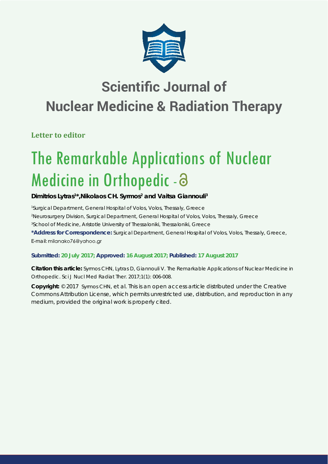

# **Scientific Journal of Nuclear Medicine & Radiation Therapy**

**Letter to editor**

# The Remarkable Applications of Nuclear Medicine in Orthopedic - a

## Dimitrios Lytras<sup>1\*</sup>, Nikolaos CH. Syrmos<sup>2</sup> and Vaitsa Giannouli<sup>3</sup>

*1 Surgical Department, General Hospital of Volos, Volos, Thessaly, Greece 2 Neurosurgery Division, Surgical Department, General Hospital of Volos, Volos, Thessaly, Greece 3 School of Medicine, Aristotle University of Thessaloniki, Thessaloniki, Greece* **\*Address for Correspondence:** Surgical Department, General Hospital of Volos, Volos, Thessaly, Greece, E-mail: milanako76@yahoo.gr

### **Submitted: 20 July 2017; Approved: 16 August 2017; Published: 17 August 2017**

**Citation this article:** Syrmos CHN, Lytras D, Giannouli V. The Remarkable Applications of Nuclear Medicine in Orthopedic. Sci J Nucl Med Radiat Ther. 2017;1(1): 006-008.

**Copyright:** © 2017 Syrmos CHN, et al. This is an open access article distributed under the Creative Commons Attribution License, which permits unrestricted use, distribution, and reproduction in any medium, provided the original work is properly cited.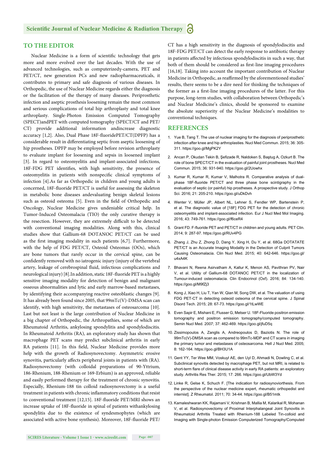#### **TO THE EDITOR**

Nuclear Medicine is a form of scientific technology that gets more and more evolved over the last decades. With the use of advanced technologies, such as computerizedγ-camera, PET and PET/CT, new generation PCs and new radiopharmaceuticals, it contributes to primary and safe diagnosis of various diseases. In Orthopedic, the use of Nuclear Medicine regards either the diagnosis or the facilitation of the therapy of many diseases. Periprosthetic infection and aseptic prosthesis loosening remain the most common and serious complications of total hip arthroplasty and total knee arthroplasty. Single-Photon Emission Computed Tomography (SPECT)andPET with computed tomography (SPECT/CT and PET/ CT) provide additional information andincrease diagnostic accuracy [1,2]. Also, Dual Phase 18F-fluoridePET/CT(DPFP) has a considerable result in differentiating septic from aseptic loosening of hip prostheses. DPFP may be employed before revision arthroplasty to evaluate implant for loosening and sepsis in loosened implant [3]. In regard to osteomyelitis and implant-associated infections, 18F-FDG PET identifies, with high sensitivity, the presence of osteomyelitis in patients with nonspecific clinical symptoms of infection [4].As far as Orthopedic in children and young adults is concerned, 18F-fluoride PET/CT is useful for assessing the skeleton in metabolic bone diseases andevaluating benign skeletal lesions such as osteoid osteoma [5]. Even in the field of Orthopedic and Oncology, Nuclear Medicine gives undeniable critical help. In Tumor-Induced Osteomalacia (TIO) the only curative therapy is the resection. However, they are extremely difficult to be detected with conventional imaging modalities. Along with this, clinical studies show that Gallium-68 DOTANOC PET/CT can be used as the first imaging modality in such patients  $[6,7]$ . Furthermore, with the help of FDG PET/CT, Osteoid Osteomas (OOs), which are bone tumors that rarely occur in the cervical spine, can be confidently removed with no iatrogenic injury (injury of the vertebral artery, leakage of cerebrospinal fluid, infectious complications and neurological injury) [8]. In addition, static 18F-fluoride PET is a highly sensitive imaging modality for detection of benign and malignant osseous abnormalities and lytic and early marrow-based metastases, by identifying their accompanying reactive osteoblastic changes [9]. It has already been found since 2005, that 99mTc(V)-DMSA scan can identify, with high sensitivity, the metastases of osteosarcoma [10]. Last but not least is the large contribution of Nuclear Medicine in a big chapter of Orthopedic, the Arthropathies, some of which are Rheumatoid Arthritis, ankylosing spondylitis and spondylodiscitis. In Rheumatoid Arthritis (RA), an exploratory study has shown that macrophage PET scans may predict subclinical arthritis in early RA patients [11]. In this field, Nuclear Medicine provides more help with the growth of Radiosynovectomy. Asymmetric erosive synovitis, particularly affects peripheral joints in patients with (RA). Radiosynovectomy (with colloidal preparations of 90-Yttrium, 186-Rhenium, 188-Rhenium or 169-Erbium) is an approved, reliable and easily performed therapy for the treatment of chronic synovitis. Especially, Rhenium-188 tin colloid radiosynovectomy is a useful treatment in patients with chronic inflammatory conditions that resist to conventional treatment [12,15]. 18F-fluoride PET/MRI shows an increase uptake of 18F-fluoride in spinal of patients withankylosing spondylitis due to the existence of syndesmophytes (which are associated with active bone synthesis). Moreover, 18F-fluoride PET/ CT has a high sensitivity in the diagnosis of spondylodiscitis and 18F-FDG PET/CT can detect the early response to antibiotic therapy in patients affected by infectious spondylodiscitis in such a way, that both of them should be considered as first-line imaging procedures [16,18]. Taking into account the important contribution of Nuclear Medicine in Orthopedic, as reaffirmed by the aforementioned studies' results, there seems to be a dire need for thinking the techniques of the former as a first-line imaging procedures of the latter. For this purpose, long-term studies, with collaboration between Orthopedic's and Nuclear Medicine's clinics, should be sponsored to examine the absolute superiority of the Nuclear Medicine's modalities to conventional techniques.

#### **REFERENCES**

- 1. Yue B, Tang T. The use of nuclear imaging for the diagnosis of periprosthetic infection after knee and hip arthroplasties. Nucl Med Commun. 2015; 36: 305- 311. https://goo.gl/MgPK2Y
- 2. Arıcan P, Okudan Tekin B, Şefizade R, Naldoken S, Baştug A, Ozkurt B. The role of bone SPECT/CT in the evaluation of painful joint prostheses. Nucl Med Commun. 2015; 36: 931-940. https://goo.gl/2Uowhx
- 3. Kumar R, Kumar R, Kumar V, Malhotra R. Comparative analysis of dualphase 18F-fluoride PET/CT and three phase bone scintigraphy in the evaluation of septic (or painful) hip prostheses. A prospective study. J Orthop Sci. 2016; 21: 205-210. https://goo.gl/uDkDvh
- 4. Wenter V, Müller JP, Albert NL, Lehner S, Fendler WP, Bartenstein P, et al. The diagnostic value of [18F] FDG PET for the detection of chronic osteomyelitis and implant-associated infection. Eur J Nucl Med Mol Imaging. 2016; 43: 749-761. https://goo.gl/f6ceR4
- 5. Grant FD. F-fluoride PET and PET/CT in children and young adults. PET Clin. 2014; 9: 287-97. https://goo.gl/RUv4PG
- 6. Zhang J, Zhu Z, Zhong D, Dang Y, Xing H, Du Y, et al. 68Ga DOTATATE PET/CT is an Accurate Imaging Modality in the Detection of Culprit Tumors Causing Osteomalacia. Clin Nucl Med. 2015; 40: 642-646. https://goo.gl/ u4xA4K
- 7. Bhavani N, Reena Asirvatham A, Kallur K, Menon AS, Pavithran PV, Nair V, et al. Utility of Gallium-68 DOTANOC PET/CT in the localization of Tumour-induced osteomalacia. Clin Endocrinol (Oxf). 2016; 84: 134-140. https://goo.gl/M9fZj3
- 8. Kong J, Xiao H, Liu T, Yan W, Qian M, Song DW, et al. The valuation of using FDG PET-CT in detecting osteoid osteoma of the cervical spine. J Spinal Disord Tech. 2015; 28: 67-73. https://goo.gl/1tLwWE
- 9. Even Sapir E, Mishani E, Flusser G, Metser U. 18F-Fluoride positron emission tomography and positron emission tomography/computed tomography. Semin Nucl Med. 2007; 37: 462-469. https://goo.gl/jfuD5q
- 10. Zissimopoulos A, Zanglis A, Andreopoulos D, Baziotis N. The role of 99mTc(V)-DMSA scan as compared to 99mTc-MDP and CT scans in imaging the primary tumor and metastases of osteosarcoma. Hell J Nucl Med. 2005; 8: 162-164. https://goo.gl/BH3U1A
- 11. Gent YY, Ter Wee MM, Voskuyl AE, den Uyl D, Ahmadi N, Dowling C, et al. Subclinical synovitis detected by macrophage PET, but not MRI, is related to short-term flare of clinical disease activity in early RA patients: an exploratory study. Arthritis Res Ther. 2015; 17: 266. https://goo.gl/UbW3Yd
- 12. Linke R, Gelse K, Schuch F. [The indication for radiosynoviorthesis. From the perspective of the nuclear medicine expert, rheumatic orthopedist and internist]. Z Rheumatol. 2011; 70: 34-44. https://goo.gl/B51mtk
- 13. Kamaleshwaran KK, Rajamani V, Krishnan B, Mallia M, Kalarikal R, Mohanan V, et al. Radiosynovectomy of Proximal Interphalangeal Joint Synovitis in Rheumatoid Arthritis Treated with Rhenium-188 Labeled Tin-colloid and Imaging with Single-photon Emission Computerized Tomography/Computed